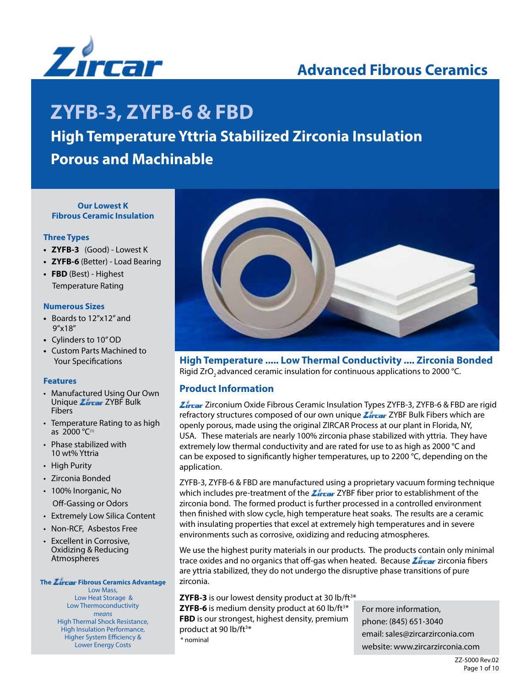

# **Advanced Fibrous Ceramics**

# **ZYFB-3, ZYFB-6 & FBD**

# **High Temperature Yttria Stabilized Zirconia Insulation**

**Porous and Machinable**

### **Our Lowest K Fibrous Ceramic Insulation**

### **Three Types**

- **ZYFB-3** (Good) Lowest K
- **ZYFB-6** (Better) Load Bearing
- **FBD** (Best) Highest Temperature Rating

### **Numerous Sizes**

- **•** Boards to 12"x12" and 9"x18"
- Cylinders to 10" OD
- Custom Parts Machined to Your Specifications

### **Features**

- Manufactured Using Our Own Unique *Zircar* ZYBF Bulk Fibers
- Temperature Rating to as high as  $2000 °C$ <sup>(1)</sup>
- Phase stabilized with 10 wt% Yttria
- High Purity
- Zirconia Bonded
- 100% Inorganic, No Off-Gassing or Odors
- Extremely Low Silica Content
- Non-RCF, Asbestos Free
- Excellent in Corrosive, Oxidizing & Reducing Atmospheres

### **The Zircar Fibrous Ceramics Advantage**

Low Mass, Low Heat Storage & Low Thermoconductivity *means* High Thermal Shock Resistance, High Insulation Performance, Higher System Efficiency & Lower Energy Costs



**High Temperature ..... Low Thermal Conductivity .... Zirconia Bonded**  Rigid ZrO<sub>2</sub> advanced ceramic insulation for continuous applications to 2000 °C.

### **Product Information**

**Zircar** Zirconium Oxide Fibrous Ceramic Insulation Types ZYFB-3, ZYFB-6 & FBD are rigid refractory structures composed of our own unique  $\mathcal{I}_{\text{ircar}}$  ZYBF Bulk Fibers which are openly porous, made using the original ZIRCAR Process at our plant in Florida, NY, USA. These materials are nearly 100% zirconia phase stabilized with yttria. They have extremely low thermal conductivity and are rated for use to as high as 2000 °C and can be exposed to significantly higher temperatures, up to 2200 °C, depending on the application.

ZYFB-3, ZYFB-6 & FBD are manufactured using a proprietary vacuum forming technique which includes pre-treatment of the  $\sum_{i=1}^{n} ZYBF$  fiber prior to establishment of the zirconia bond. The formed product is further processed in a controlled environment then finished with slow cycle, high temperature heat soaks. The results are a ceramic with insulating properties that excel at extremely high temperatures and in severe environments such as corrosive, oxidizing and reducing atmospheres.

We use the highest purity materials in our products. The products contain only minimal trace oxides and no organics that off-gas when heated. Because *Zircar* zirconia fibers are yttria stabilized, they do not undergo the disruptive phase transitions of pure zirconia.

**ZYFB-3** is our lowest density product at 30 lb/ft<sup>3\*</sup> **ZYFB-6** is medium density product at 60 lb/ft<sup>3\*</sup> **FBD** is our strongest, highest density, premium product at 90 lb/ft<sup>3\*</sup> \* nominal

For more information, phone: (845) 651-3040 email: sales@zircarzirconia.com website: www.zircarzirconia.com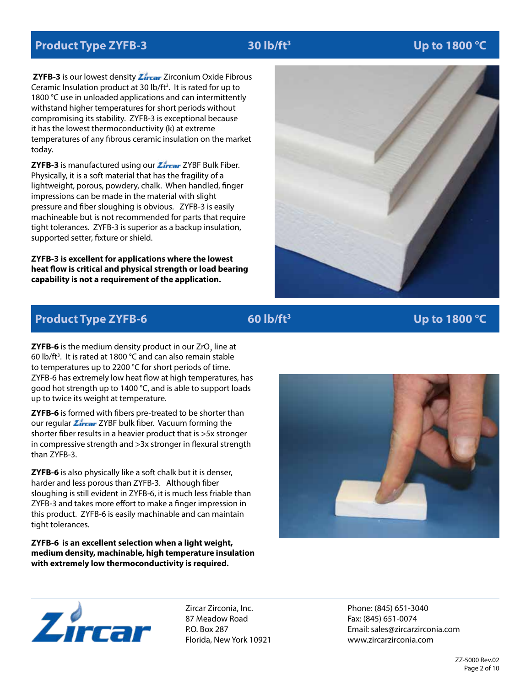# **Product Type ZYFB-3** 30 lb/ft<sup>3</sup>

### **Up to 1800 °C**

**ZYFB-3** is our lowest density **Zircar** Zirconium Oxide Fibrous Ceramic Insulation product at 30  $lb/ft<sup>3</sup>$ . It is rated for up to 1800 °C use in unloaded applications and can intermittently withstand higher temperatures for short periods without compromising its stability. ZYFB-3 is exceptional because it has the lowest thermoconductivity (k) at extreme temperatures of any fibrous ceramic insulation on the market today.

**ZYFB-3** is manufactured using our **Zircar** ZYBF Bulk Fiber. Physically, it is a soft material that has the fragility of a lightweight, porous, powdery, chalk. When handled, finger impressions can be made in the material with slight pressure and fiber sloughing is obvious. ZYFB-3 is easily machineable but is not recommended for parts that require tight tolerances. ZYFB-3 is superior as a backup insulation, supported setter, fixture or shield.

**ZYFB-3 is excellent for applications where the lowest heat flow is critical and physical strength or load bearing capability is not a requirement of the application.** 



# **Product Type ZYFB-6** 60 lb/ft<sup>3</sup>

### **Up to 1800 °C**

**ZYFB-6** is the medium density product in our ZrO $_2$  line at 60 lb/ft<sup>3</sup>. It is rated at 1800  $\degree$ C and can also remain stable to temperatures up to 2200 °C for short periods of time. ZYFB-6 has extremely low heat flow at high temperatures, has good hot strength up to 1400 °C, and is able to support loads up to twice its weight at temperature.

**ZYFB-6** is formed with fibers pre-treated to be shorter than our regular *Zircar* ZYBF bulk fiber. Vacuum forming the shorter fiber results in a heavier product that is >5x stronger in compressive strength and >3x stronger in flexural strength than ZYFB-3.

**ZYFB-6** is also physically like a soft chalk but it is denser, harder and less porous than ZYFB-3. Although fiber sloughing is still evident in ZYFB-6, it is much less friable than ZYFB-3 and takes more effort to make a finger impression in this product. ZYFB-6 is easily machinable and can maintain tight tolerances.

**ZYFB-6 is an excellent selection when a light weight, medium density, machinable, high temperature insulation with extremely low thermoconductivity is required.**





Zircar Zirconia, Inc. 87 Meadow Road P.O. Box 287 Florida, New York 10921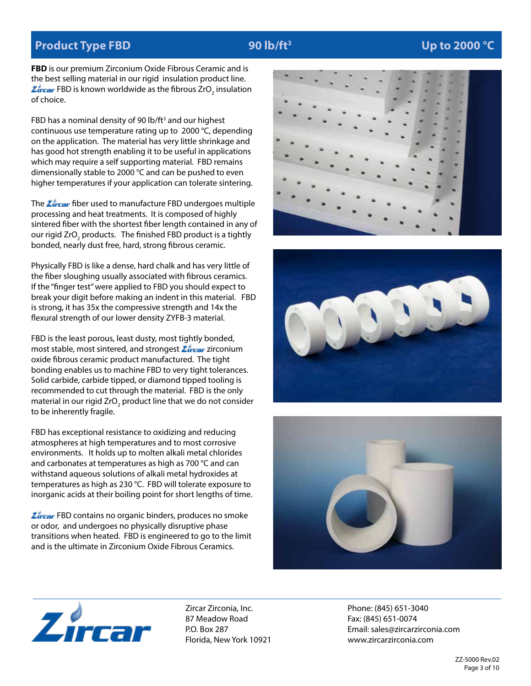### **Product Type FBD** 90 lb/ft<sup>3</sup>

### **Up to 2000 °C**

**FBD** is our premium Zirconium Oxide Fibrous Ceramic and is the best selling material in our rigid insulation product line. FBD is known worldwide as the fibrous  $ZrO_2$  insulation of choice.

FBD has a nominal density of 90 lb/ft<sup>3</sup> and our highest continuous use temperature rating up to 2000 °C, depending on the application. The material has very little shrinkage and has good hot strength enabling it to be useful in applications which may require a self supporting material. FBD remains dimensionally stable to 2000 °C and can be pushed to even higher temperatures if your application can tolerate sintering.

The *Lirear* fiber used to manufacture FBD undergoes multiple processing and heat treatments. It is composed of highly sintered fiber with the shortest fiber length contained in any of our rigid ZrO<sub>2</sub> products. The finished FBD product is a tightly bonded, nearly dust free, hard, strong fibrous ceramic.

Physically FBD is like a dense, hard chalk and has very little of the fiber sloughing usually associated with fibrous ceramics. If the "finger test" were applied to FBD you should expect to break your digit before making an indent in this material. FBD is strong, it has 35x the compressive strength and 14x the flexural strength of our lower density ZYFB-3 material.

FBD is the least porous, least dusty, most tightly bonded, most stable, most sintered, and strongest **Zircar** zirconium oxide fibrous ceramic product manufactured. The tight bonding enables us to machine FBD to very tight tolerances. Solid carbide, carbide tipped, or diamond tipped tooling is recommended to cut through the material. FBD is the only material in our rigid ZrO<sub>2</sub> product line that we do not consider to be inherently fragile.

FBD has exceptional resistance to oxidizing and reducing atmospheres at high temperatures and to most corrosive environments. It holds up to molten alkali metal chlorides and carbonates at temperatures as high as 700 °C and can withstand aqueous solutions of alkali metal hydroxides at temperatures as high as 230 °C. FBD will tolerate exposure to inorganic acids at their boiling point for short lengths of time.

**Zircar** FBD contains no organic binders, produces no smoke or odor, and undergoes no physically disruptive phase transitions when heated. FBD is engineered to go to the limit and is the ultimate in Zirconium Oxide Fibrous Ceramics.









Zircar Zirconia, Inc. 87 Meadow Road P.O. Box 287 Florida, New York 10921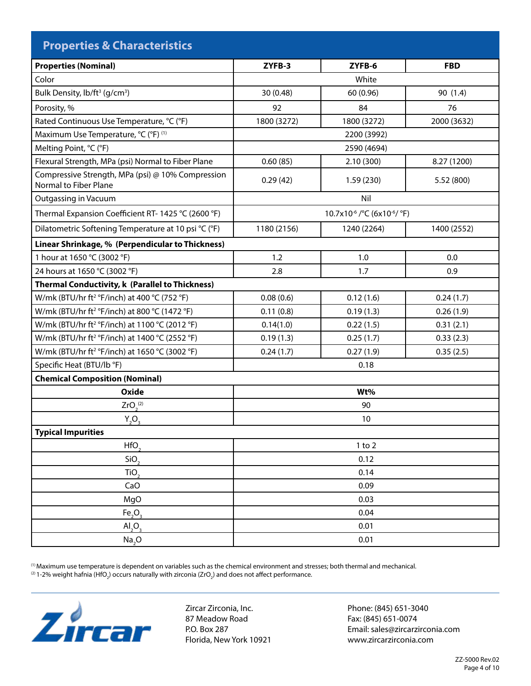| <b>Properties &amp; Characteristics</b>                                    |                                                      |             |             |  |  |
|----------------------------------------------------------------------------|------------------------------------------------------|-------------|-------------|--|--|
| <b>Properties (Nominal)</b>                                                | ZYFB-3                                               | ZYFB-6      | <b>FBD</b>  |  |  |
| Color                                                                      | White                                                |             |             |  |  |
| Bulk Density, lb/ft <sup>3</sup> (g/cm <sup>3</sup> )                      | 30 (0.48)                                            | 60 (0.96)   | 90 (1.4)    |  |  |
| Porosity, %                                                                | 92                                                   | 84          | 76          |  |  |
| Rated Continuous Use Temperature, °C (°F)                                  | 1800 (3272)                                          | 1800 (3272) | 2000 (3632) |  |  |
| Maximum Use Temperature, °C (°F) (1)                                       | 2200 (3992)                                          |             |             |  |  |
| Melting Point, °C (°F)                                                     | 2590 (4694)                                          |             |             |  |  |
| Flexural Strength, MPa (psi) Normal to Fiber Plane                         | 0.60(85)                                             | 2.10(300)   | 8.27 (1200) |  |  |
| Compressive Strength, MPa (psi) @ 10% Compression<br>Normal to Fiber Plane | 0.29(42)                                             | 1.59(230)   | 5.52 (800)  |  |  |
| Outgassing in Vacuum                                                       | Nil                                                  |             |             |  |  |
| Thermal Expansion Coefficient RT-1425 °C (2600 °F)                         | 10.7x10 <sup>-6</sup> / °C (6x10 <sup>-6</sup> / °F) |             |             |  |  |
| Dilatometric Softening Temperature at 10 psi °C (°F)                       | 1180 (2156)                                          | 1240 (2264) | 1400 (2552) |  |  |
| Linear Shrinkage, % (Perpendicular to Thickness)                           |                                                      |             |             |  |  |
| 1 hour at 1650 °C (3002 °F)                                                | 1.2                                                  | 1.0         | 0.0         |  |  |
| 24 hours at 1650 °C (3002 °F)                                              | 2.8                                                  | 1.7         | 0.9         |  |  |
| <b>Thermal Conductivity, k (Parallel to Thickness)</b>                     |                                                      |             |             |  |  |
| W/mk (BTU/hr ft <sup>2</sup> °F/inch) at 400 °C (752 °F)                   | 0.08(0.6)                                            | 0.12(1.6)   | 0.24(1.7)   |  |  |
| W/mk (BTU/hr ft <sup>2</sup> °F/inch) at 800 °C (1472 °F)                  | 0.11(0.8)                                            | 0.19(1.3)   | 0.26(1.9)   |  |  |
| W/mk (BTU/hr ft <sup>2</sup> °F/inch) at 1100 °C (2012 °F)                 | 0.14(1.0)                                            | 0.22(1.5)   | 0.31(2.1)   |  |  |
| W/mk (BTU/hr ft <sup>2</sup> °F/inch) at 1400 °C (2552 °F)                 | 0.19(1.3)                                            | 0.25(1.7)   | 0.33(2.3)   |  |  |
| W/mk (BTU/hr ft <sup>2</sup> °F/inch) at 1650 °C (3002 °F)                 | 0.24(1.7)                                            | 0.27(1.9)   | 0.35(2.5)   |  |  |
| Specific Heat (BTU/lb °F)                                                  | 0.18                                                 |             |             |  |  |
| <b>Chemical Composition (Nominal)</b>                                      |                                                      |             |             |  |  |
| <b>Oxide</b>                                                               | Wt%                                                  |             |             |  |  |
| ZrO <sub>2</sub> <sup>(2)</sup>                                            | 90                                                   |             |             |  |  |
| $Y_2O_3$                                                                   | 10                                                   |             |             |  |  |
| <b>Typical Impurities</b>                                                  |                                                      |             |             |  |  |
| HfO <sub>2</sub>                                                           | $1$ to $2$                                           |             |             |  |  |
| SiO <sub>2</sub>                                                           | 0.12                                                 |             |             |  |  |
| TiO <sub>2</sub>                                                           | 0.14                                                 |             |             |  |  |
| CaO                                                                        | 0.09                                                 |             |             |  |  |
| MgO                                                                        | 0.03                                                 |             |             |  |  |
| Fe <sub>2</sub> O <sub>3</sub>                                             | 0.04                                                 |             |             |  |  |
| AI <sub>2</sub> O <sub>3</sub>                                             | 0.01                                                 |             |             |  |  |
| Na <sub>2</sub> O                                                          | 0.01                                                 |             |             |  |  |

(1) Maximum use temperature is dependent on variables such as the chemical environment and stresses; both thermal and mechanical.  $^{(2)}$ 1-2% weight hafnia (HfO<sub>2</sub>) occurs naturally with zirconia (ZrO<sub>2</sub>) and does not affect performance.



Zircar Zirconia, Inc. 87 Meadow Road P.O. Box 287 Florida, New York 10921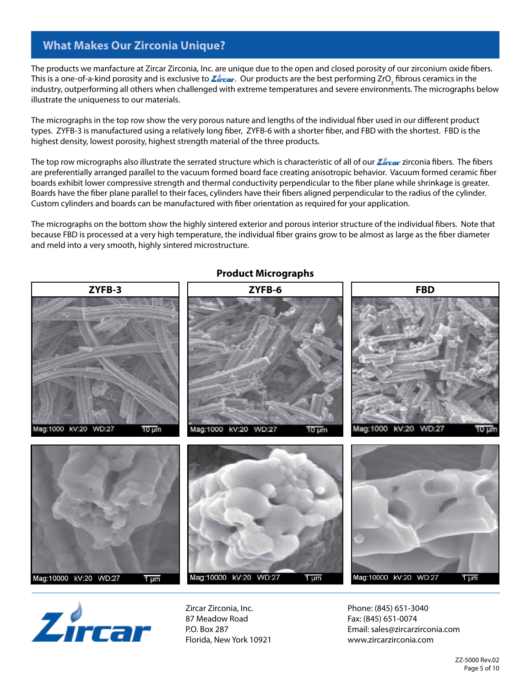### **What Makes Our Zirconia Unique?**

The products we manfacture at Zircar Zirconia, Inc. are unique due to the open and closed porosity of our zirconium oxide fibers. This is a one-of-a-kind porosity and is exclusive to *Zircar* . Our products are the best performing ZrO<sub>2</sub> fibrous ceramics in the industry, outperforming all others when challenged with extreme temperatures and severe environments. The micrographs below illustrate the uniqueness to our materials.

The micrographs in the top row show the very porous nature and lengths of the individual fiber used in our different product types. ZYFB-3 is manufactured using a relatively long fiber, ZYFB-6 with a shorter fiber, and FBD with the shortest. FBD is the highest density, lowest porosity, highest strength material of the three products.

The top row micrographs also illustrate the serrated structure which is characteristic of all of our *Zircar* zirconia fibers. The fibers are preferentially arranged parallel to the vacuum formed board face creating anisotropic behavior. Vacuum formed ceramic fiber boards exhibit lower compressive strength and thermal conductivity perpendicular to the fiber plane while shrinkage is greater. Boards have the fiber plane parallel to their faces, cylinders have their fibers aligned perpendicular to the radius of the cylinder. Custom cylinders and boards can be manufactured with fiber orientation as required for your application.

The micrographs on the bottom show the highly sintered exterior and porous interior structure of the individual fibers. Note that because FBD is processed at a very high temperature, the individual fiber grains grow to be almost as large as the fiber diameter and meld into a very smooth, highly sintered microstructure.



### **Product Micrographs**



Zircar Zirconia, Inc. 87 Meadow Road P.O. Box 287 Florida, New York 10921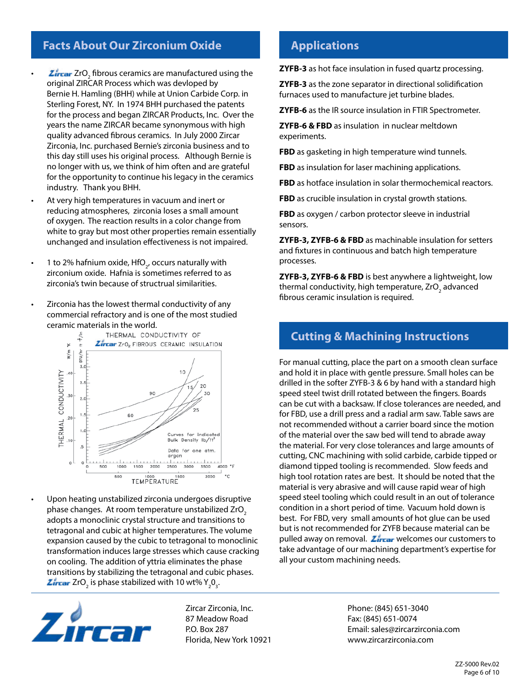## **Facts About Our Zirconium Oxide**

- $\blacksquare$   $\blacksquare$   $\blacksquare$   $\blacksquare$   $\blacksquare$   $\blacksquare$   $\blacksquare$  fibrous ceramics are manufactured using the original ZIRCAR Process which was devloped by Bernie H. Hamling (BHH) while at Union Carbide Corp. in Sterling Forest, NY. In 1974 BHH purchased the patents for the process and began ZIRCAR Products, Inc. Over the years the name ZIRCAR became synonymous with high quality advanced fibrous ceramics. In July 2000 Zircar Zirconia, Inc. purchased Bernie's zirconia business and to this day still uses his original process. Although Bernie is no longer with us, we think of him often and are grateful for the opportunity to continue his legacy in the ceramics industry. Thank you BHH.
	- At very high temperatures in vacuum and inert or reducing atmospheres, zirconia loses a small amount of oxygen. The reaction results in a color change from white to gray but most other properties remain essentially unchanged and insulation effectiveness is not impaired.
- 1 to 2% hafnium oxide, HfO<sub>2</sub>, occurs naturally with zirconium oxide. Hafnia is sometimes referred to as zirconia's twin because of structrual similarities.
- Zirconia has the lowest thermal conductivity of any commercial refractory and is one of the most studied ceramic materials in the world.



• Upon heating unstabilized zirconia undergoes disruptive phase changes. At room temperature unstabilized ZrO<sub>2</sub> adopts a monoclinic crystal structure and transitions to tetragonal and cubic at higher temperatures. The volume expansion caused by the cubic to tetragonal to monoclinic transformation induces large stresses which cause cracking on cooling. The addition of yttria eliminates the phase transitions by stabilizing the tetragonal and cubic phases. ZrO<sub>2</sub> is phase stabilized with 10 wt%  $Y_2O_3$ .



Zircar Zirconia, Inc. 87 Meadow Road P.O. Box 287 Florida, New York 10921

### **Applications**

**ZYFB-3** as hot face insulation in fused quartz processing.

**ZYFB-3** as the zone separator in directional solidification furnaces used to manufacture jet turbine blades.

**ZYFB-6** as the IR source insulation in FTIR Spectrometer.

**ZYFB-6 & FBD** as insulation in nuclear meltdown experiments.

**FBD** as gasketing in high temperature wind tunnels.

**FBD** as insulation for laser machining applications.

**FBD** as hotface insulation in solar thermochemical reactors.

**FBD** as crucible insulation in crystal growth stations.

**FBD** as oxygen / carbon protector sleeve in industrial sensors.

**ZYFB-3, ZYFB-6 & FBD** as machinable insulation for setters and fixtures in continuous and batch high temperature processes.

**ZYFB-3, ZYFB-6 & FBD** is best anywhere a lightweight, low thermal conductivity, high temperature, ZrO<sub>2</sub> advanced fibrous ceramic insulation is required.

### **Cutting & Machining Instructions**

For manual cutting, place the part on a smooth clean surface and hold it in place with gentle pressure. Small holes can be drilled in the softer ZYFB-3 & 6 by hand with a standard high speed steel twist drill rotated between the fingers. Boards can be cut with a backsaw. If close tolerances are needed, and for FBD, use a drill press and a radial arm saw. Table saws are not recommended without a carrier board since the motion of the material over the saw bed will tend to abrade away the material. For very close tolerances and large amounts of cutting, CNC machining with solid carbide, carbide tipped or diamond tipped tooling is recommended. Slow feeds and high tool rotation rates are best. It should be noted that the material is very abrasive and will cause rapid wear of high speed steel tooling which could result in an out of tolerance condition in a short period of time. Vacuum hold down is best. For FBD, very small amounts of hot glue can be used but is not recommended for ZYFB because material can be pulled away on removal. *Lircar* welcomes our customers to take advantage of our machining department's expertise for all your custom machining needs.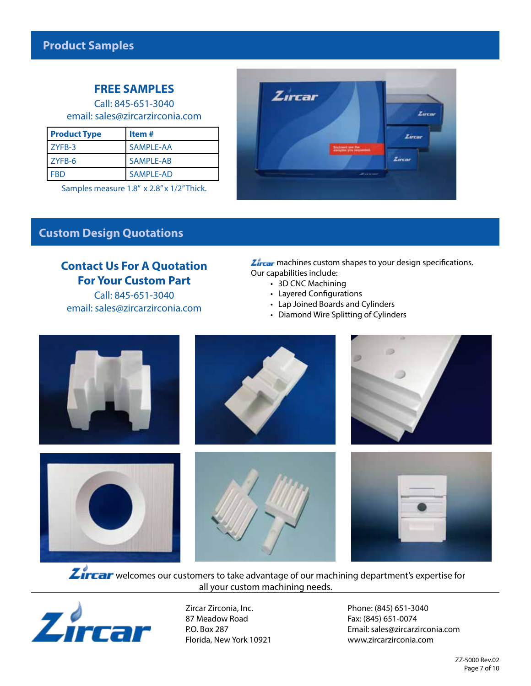# **FREE SAMPLES**

Call: 845-651-3040 email: sales@zircarzirconia.com

| <b>Product Type</b> | Item#            |
|---------------------|------------------|
| I ZYFB-3            | SAMPLE-AA        |
| <b>ZYFB-6</b>       | <b>SAMPLE-AB</b> |
| <b>FBD</b>          | SAMPLE-AD        |

Samples measure 1.8" x 2.8" x 1/2" Thick.



### **Custom Design Quotations**

# **Contact Us For A Quotation For Your Custom Part**

Call: 845-651-3040 email: sales@zircarzirconia.com **Zircar** machines custom shapes to your design specifications. Our capabilities include:

- 3D CNC Machining
	- Layered Configurations
	- Lap Joined Boards and Cylinders
- Diamond Wire Splitting of Cylinders



**Zircar** welcomes our customers to take advantage of our machining department's expertise for all your custom machining needs.



Zircar Zirconia, Inc. 87 Meadow Road P.O. Box 287 Florida, New York 10921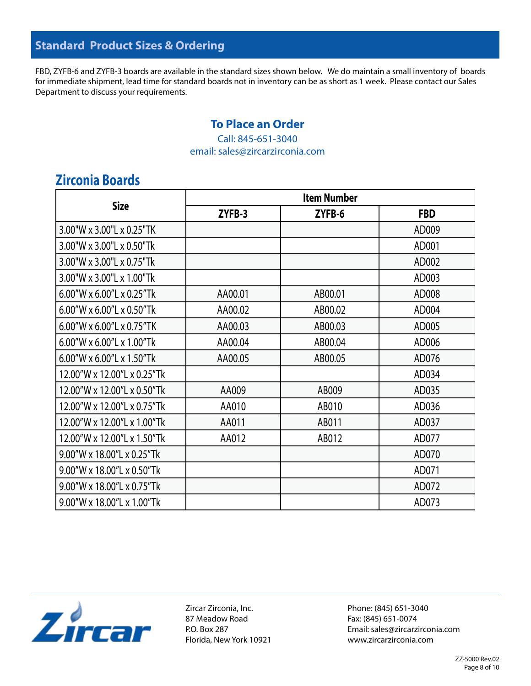FBD, ZYFB-6 and ZYFB-3 boards are available in the standard sizes shown below. We do maintain a small inventory of boards for immediate shipment, lead time for standard boards not in inventory can be as short as 1 week. Please contact our Sales Department to discuss your requirements.

### **To Place an Order**

Call: 845-651-3040 email: sales@zircarzirconia.com

# **Zirconia Boards**

| <b>Size</b>                           | <b>Item Number</b> |         |            |  |
|---------------------------------------|--------------------|---------|------------|--|
|                                       | ZYFB-3             | ZYFB-6  | <b>FBD</b> |  |
| 3.00"W x 3.00"L x 0.25"TK             |                    |         | AD009      |  |
| 3.00"W x 3.00"L x 0.50"Tk             |                    |         | AD001      |  |
| 3.00"W x 3.00"L x 0.75"Tk             |                    |         | AD002      |  |
| 3.00"W x 3.00"L x 1.00"Tk             |                    |         | AD003      |  |
| 6.00"W x 6.00"L x 0.25"Tk             | AA00.01            | AB00.01 | AD008      |  |
| 6.00"W x 6.00"L x 0.50"Tk             | AA00.02            | AB00.02 | AD004      |  |
| $6.00''$ W x $6.00''$ L x $0.75''$ TK | AA00.03            | AB00.03 | AD005      |  |
| 6.00"W x 6.00"L x 1.00"Tk             | AA00.04            | AB00.04 | AD006      |  |
| 6.00"W x 6.00"L x 1.50"Tk             | AA00.05            | AB00.05 | AD076      |  |
| 12.00"W x 12.00"L x 0.25"Tk           |                    |         | AD034      |  |
| 12.00"W x 12.00"L x 0.50"Tk           | AA009              | AB009   | AD035      |  |
| 12.00"W x 12.00"L x 0.75"Tk           | AA010              | AB010   | AD036      |  |
| 12.00"W x 12.00"L x 1.00"Tk           | AA011              | AB011   | AD037      |  |
| 12.00"W x 12.00"L x 1.50"Tk           | AA012              | AB012   | AD077      |  |
| 9.00"W x 18.00"L x 0.25"Tk            |                    |         | AD070      |  |
| 9.00"W x 18.00"L x 0.50"Tk            |                    |         | AD071      |  |
| 9.00"W x 18.00"L x 0.75"Tk            |                    |         | AD072      |  |
| $9.00''$ W x 18.00"L x 1.00"Tk        |                    |         | AD073      |  |



Zircar Zirconia, Inc. 87 Meadow Road P.O. Box 287 Florida, New York 10921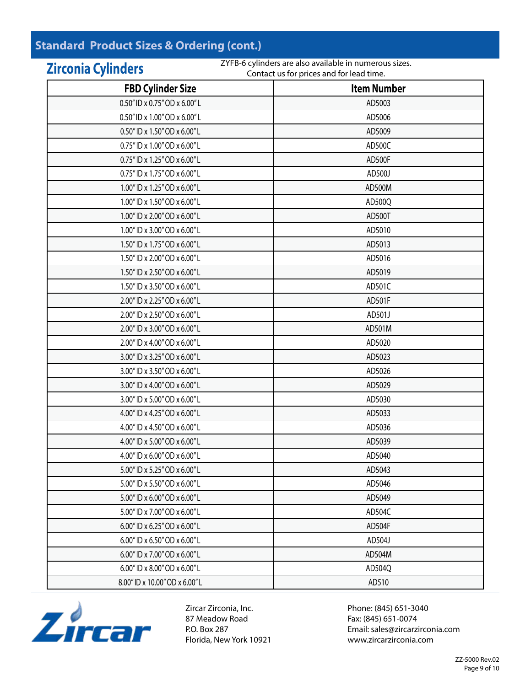# **Standard Product Sizes & Ordering (cont.)**

### **Zirconia Cylinders FBD Cylinder Size Item Number** 0.50" ID x 0.75" OD x 6.00" L AD5003 0.50" ID x 1.00" OD x 6.00" L AD5006 0.50" ID x 1.50" OD x 6.00" L AD5009 0.75" ID x 1.00" OD x 6.00" L AD500C 0.75" ID x 1.25" OD x 6.00" L AD500F 0.75" ID x 1.75" OD x 6.00" L AD500J 1.00" ID x 1.25" OD x 6.00" L AD500M 1.00" ID x 1.50" OD x 6.00" L AD500Q 1.00" ID x 2.00" OD x 6.00" L AD500T 1.00" ID x 3.00" OD x 6.00" L AD5010 1.50" ID x 1.75" OD x 6.00" L AD5013 1.50" ID x 2.00" OD x 6.00" L AD5016 1.50" ID x 2.50" OD x 6.00" L AD5019 1.50" ID x 3.50" OD x 6.00" L AD501C 2.00" ID x 2.25" OD x 6.00" L AD501 F 2.00" ID x 2.50" OD x 6.00" L AD501J 2.00" ID x 3.00" OD x 6.00" L AD501M 2.00" ID x 4.00" OD x 6.00" L AD5020  $3.00$ " ID x  $3.25$ " OD x  $6.00$ " L  $\qquad \qquad$  AD5023  $3.00$ " ID x  $3.50$ " OD x  $6.00$ " L  $\qquad \qquad$  AD5026 3.00" ID x 4.00" OD x 6.00" L AD5029 3.00" ID x 5.00" OD x 6.00" L AD5030 4.00" ID x 4.25" OD x 6.00" L AD5033 4.00" ID x 4.50" OD x 6.00" L AD5036 4.00" ID x 5.00" OD x 6.00" L AD5039 4.00" ID x 6.00" OD x 6.00" L AD5040 5.00" ID x 5.25" OD x 6.00" L AD5043 5.00" ID x 5.50" OD x 6.00" L AD5046 5.00" ID x 6.00" OD x 6.00" L AD5049 5.00" ID x 7.00" OD x 6.00" L AD504C  $6.00$ " ID x  $6.25$ " OD x  $6.00$ " L  $\qquad \qquad$  AD504F 6.00" ID x 6.50" OD x 6.00" L AD504J 6.00" ID x 7.00" OD x 6.00" L AD504M 6.00" ID x 8.00" OD x 6.00" L AD504Q 8.00" ID x 10.00" OD x 6.00" L AD510 Contact us for prices and for lead time.

ZYFB-6 cylinders are also available in numerous sizes.



Zircar Zirconia, Inc. 87 Meadow Road P.O. Box 287 Florida, New York 10921